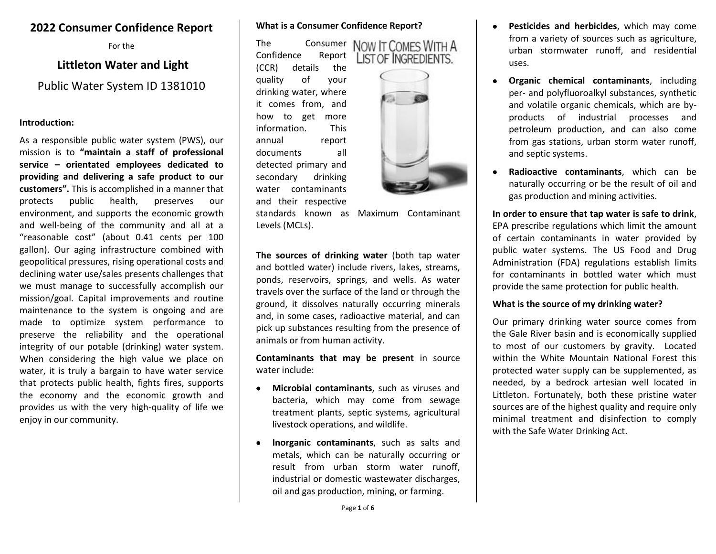# **2022 Consumer Confidence Report**

For the

# **Littleton Water and Light**

Public Water System ID 1381010

## **Introduction:**

As a responsible public water system (PWS), our mission is to **"maintain a staff of professional service – orientated employees dedicated to providing and delivering a safe product to our customers".** This is accomplished in a manner that protects public health, preserves our environment, and supports the economic growth and well-being of the community and all at a "reasonable cost" (about 0.41 cents per 100 gallon). Our aging infrastructure combined with geopolitical pressures, rising operational costs and declining water use/sales presents challenges that we must manage to successfully accomplish our mission/goal. Capital improvements and routine maintenance to the system is ongoing and are made to optimize system performance to preserve the reliability and the operational integrity of our potable (drinking) water system. When considering the high value we place on water, it is truly a bargain to have water service that protects public health, fights fires, supports the economy and the economic growth and provides us with the very high-quality of life we enjoy in our community.

## **What is a Consumer Confidence Report?**

The Consumer NOW IT COMES WITH A Confidence Report (CCR) details the quality of your drinking water, where it comes from, and how to get more information. This annual report documents all detected primary and secondary drinking water contaminants and their respective



standards known as Maximum Contaminant Levels (MCLs).

**The sources of drinking water** (both tap water and bottled water) include rivers, lakes, streams, ponds, reservoirs, springs, and wells. As water travels over the surface of the land or through the ground, it dissolves naturally occurring minerals and, in some cases, radioactive material, and can pick up substances resulting from the presence of animals or from human activity.

**Contaminants that may be present** in source water include:

- **Microbial contaminants**, such as viruses and bacteria, which may come from sewage treatment plants, septic systems, agricultural livestock operations, and wildlife.
- **Inorganic contaminants**, such as salts and metals, which can be naturally occurring or result from urban storm water runoff, industrial or domestic wastewater discharges, oil and gas production, mining, or farming.
- **Pesticides and herbicides**, which may come from a variety of sources such as agriculture, urban stormwater runoff, and residential uses.
- **Organic chemical contaminants**, including per- and polyfluoroalkyl substances, synthetic and volatile organic chemicals, which are byproducts of industrial processes and petroleum production, and can also come from gas stations, urban storm water runoff, and septic systems.
- **Radioactive contaminants**, which can be naturally occurring or be the result of oil and gas production and mining activities.

#### **In order to ensure that tap water is safe to drink**,

EPA prescribe regulations which limit the amount of certain contaminants in water provided by public water systems. The US Food and Drug Administration (FDA) regulations establish limits for contaminants in bottled water which must provide the same protection for public health.

## **What is the source of my drinking water?**

Our primary drinking water source comes from the Gale River basin and is economically supplied to most of our customers by gravity. Located within the White Mountain National Forest this protected water supply can be supplemented, as needed, by a bedrock artesian well located in Littleton. Fortunately, both these pristine water sources are of the highest quality and require only minimal treatment and disinfection to comply with the Safe Water Drinking Act.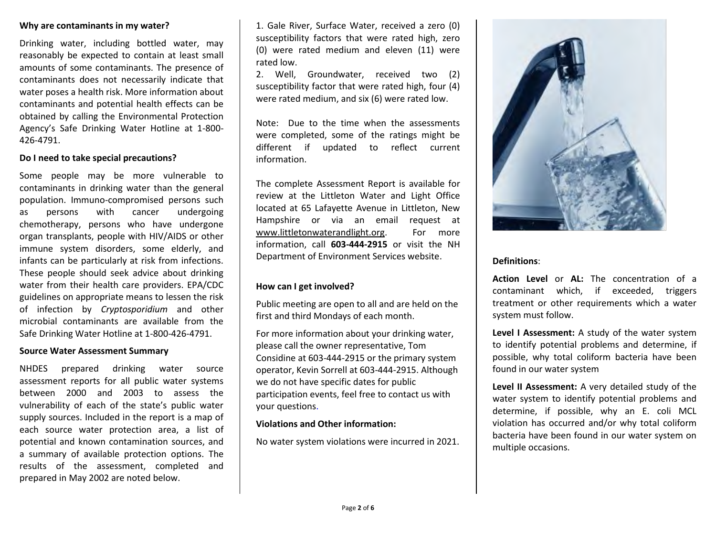#### **Why are contaminants in my water?**

Drinking water, including bottled water, may reasonably be expected to contain at least small amounts of some contaminants. The presence of contaminants does not necessarily indicate that water poses a health risk. More information about contaminants and potential health effects can be obtained by calling the Environmental Protection Agency's Safe Drinking Water Hotline at 1-800- 426-4791.

#### **Do I need to take special precautions?**

Some people may be more vulnerable to contaminants in drinking water than the general population. Immuno-compromised persons such as persons with cancer undergoing chemotherapy, persons who have undergone organ transplants, people with HIV/AIDS or other immune system disorders, some elderly, and infants can be particularly at risk from infections. These people should seek advice about drinking water from their health care providers. EPA/CDC guidelines on appropriate means to lessen the risk of infection by *Cryptosporidium* and other microbial contaminants are available from the Safe Drinking Water Hotline at 1-800-426-4791.

#### **Source Water Assessment Summary**

NHDES prepared drinking water source assessment reports for all public water systems between 2000 and 2003 to assess the vulnerability of each of the state's public water supply sources. Included in the report is a map of each source water protection area, a list of potential and known contamination sources, and a summary of available protection options. The results of the assessment, completed and prepared in May 2002 are noted below.

1. Gale River, Surface Water, received a zero (0) susceptibility factors that were rated high, zero (0) were rated medium and eleven (11) were rated low.

2. Well, Groundwater, received two (2) susceptibility factor that were rated high, four (4) were rated medium, and six (6) were rated low.

Note: Due to the time when the assessments were completed, some of the ratings might be different if updated to reflect current information.

The complete Assessment Report is available for review at the Littleton Water and Light Office located at 65 Lafayette Avenue in Littleton, New Hampshire or via an email request at [www.littletonwaterandlight.org.](http://www.littletonwaterandlight.org/) For more information, call **603-444-2915** or visit the [NH](https://www.des.nh.gov/resource-center/publications?keys=ccr&purpose=&subcategory=Drinking+Water)  [Department of Environment Services website.](https://www.des.nh.gov/resource-center/publications?keys=ccr&purpose=&subcategory=Drinking+Water)

## **How can I get involved?**

Public meeting are open to all and are held on the first and third Mondays of each month.

For more information about your drinking water, please call the owner representative, Tom Considine at 603-444-2915 or the primary system operator, Kevin Sorrell at 603-444-2915. Although we do not have specific dates for public participation events, feel free to contact us with your questions.

## **Violations and Other information:**

No water system violations were incurred in 2021.



## **Definitions**:

**Action Level** or **AL:** The concentration of a contaminant which, if exceeded, triggers treatment or other requirements which a water system must follow.

**Level I Assessment:** A study of the water system to identify potential problems and determine, if possible, why total coliform bacteria have been found in our water system

**Level II Assessment:** A very detailed study of the water system to identify potential problems and determine, if possible, why an E. coli MCL violation has occurred and/or why total coliform bacteria have been found in our water system on multiple occasions.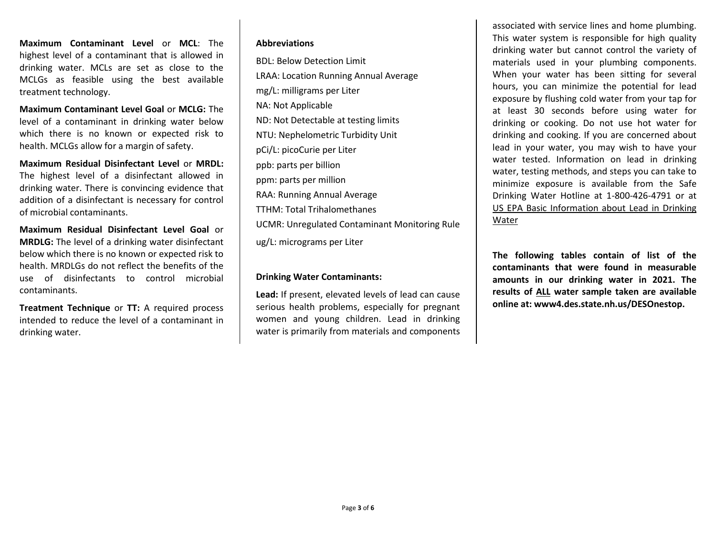**Maximum Contaminant Level** or **MCL**: The highest level of a contaminant that is allowed in drinking water. MCLs are set as close to the MCLGs as feasible using the best available treatment technology.

**Maximum Contaminant Level Goal** or **MCLG:** The level of a contaminant in drinking water below which there is no known or expected risk to health. MCLGs allow for a margin of safety.

**Maximum Residual Disinfectant Level** or **MRDL:**  The highest level of a disinfectant allowed in drinking water. There is convincing evidence that addition of a disinfectant is necessary for control of microbial contaminants.

**Maximum Residual Disinfectant Level Goal** or **MRDLG:** The level of a drinking water disinfectant below which there is no known or expected risk to health. MRDLGs do not reflect the benefits of the use of disinfectants to control microbial contaminants.

**Treatment Technique** or **TT:** A required process intended to reduce the level of a contaminant in drinking water.

#### **Abbreviations**

BDL: Below Detection Limit LRAA: Location Running Annual Average mg/L: milligrams per Liter NA: Not Applicable ND: Not Detectable at testing limits NTU: Nephelometric Turbidity Unit pCi/L: picoCurie per Liter ppb: parts per billion ppm: parts per million RAA: Running Annual Average TTHM: Total Trihalomethanes UCMR: Unregulated Contaminant Monitoring Rule ug/L: micrograms per Liter

#### **Drinking Water Contaminants:**

**Lead:** If present, elevated levels of lead can cause serious health problems, especially for pregnant women and young children. Lead in drinking water is primarily from materials and components associated with service lines and home plumbing. This water system is responsible for high quality drinking water but cannot control the variety of materials used in your plumbing components. When your water has been sitting for several hours, you can minimize the potential for lead exposure by flushing cold water from your tap for at least 30 seconds before using water for drinking or cooking. Do not use hot water for drinking and cooking. If you are concerned about lead in your water, you may wish to have your water tested. Information on lead in drinking water, testing methods, and steps you can take to minimize exposure is available from the Safe Drinking Water Hotline at 1-800-426-4791 or at [US EPA Basic Information about Lead in Drinking](https://www.epa.gov/ground-water-and-drinking-water/basic-information-about-lead-drinking-water)  [Water](https://www.epa.gov/ground-water-and-drinking-water/basic-information-about-lead-drinking-water)

**The following tables contain of list of the contaminants that were found in measurable amounts in our drinking water in 2021. The results of ALL water sample taken are available online at: www4.des.state.nh.us/DESOnestop[.](https://www.epa.gov/ground-water-and-drinking-water/basic-information-about-lead-drinking-water)**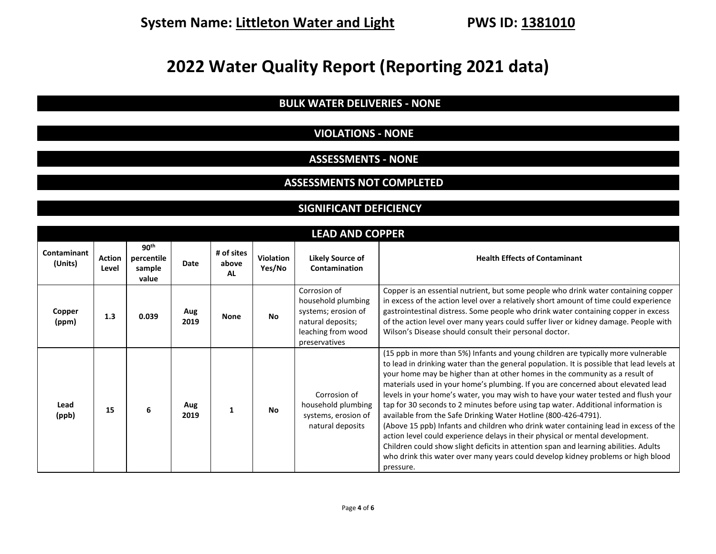# **2022 Water Quality Report (Reporting 2021 data)**

# **BULK WATER DELIVERIES - NONE**

# **VIOLATIONS - NONE**

# **ASSESSMENTS - NONE**

# **ASSESSMENTS NOT COMPLETED**

# **SIGNIFICANT DEFICIENCY**

| <b>LEAD AND COPPER</b> |                        |                                                   |             |                                  |                     |                                                                                                                       |                                                                                                                                                                                                                                                                                                                                                                                                                                                                                                                                                                                                                                                                                                                                                                                                                                                                                                                                                                  |  |  |
|------------------------|------------------------|---------------------------------------------------|-------------|----------------------------------|---------------------|-----------------------------------------------------------------------------------------------------------------------|------------------------------------------------------------------------------------------------------------------------------------------------------------------------------------------------------------------------------------------------------------------------------------------------------------------------------------------------------------------------------------------------------------------------------------------------------------------------------------------------------------------------------------------------------------------------------------------------------------------------------------------------------------------------------------------------------------------------------------------------------------------------------------------------------------------------------------------------------------------------------------------------------------------------------------------------------------------|--|--|
| Contaminant<br>(Units) | <b>Action</b><br>Level | 90 <sup>th</sup><br>percentile<br>sample<br>value | Date        | # of sites<br>above<br><b>AL</b> | Violation<br>Yes/No | <b>Likely Source of</b><br>Contamination                                                                              | <b>Health Effects of Contaminant</b>                                                                                                                                                                                                                                                                                                                                                                                                                                                                                                                                                                                                                                                                                                                                                                                                                                                                                                                             |  |  |
| Copper<br>(ppm)        | 1.3                    | 0.039                                             | Aug<br>2019 | <b>None</b>                      | <b>No</b>           | Corrosion of<br>household plumbing<br>systems; erosion of<br>natural deposits;<br>leaching from wood<br>preservatives | Copper is an essential nutrient, but some people who drink water containing copper<br>in excess of the action level over a relatively short amount of time could experience<br>gastrointestinal distress. Some people who drink water containing copper in excess<br>of the action level over many years could suffer liver or kidney damage. People with<br>Wilson's Disease should consult their personal doctor.                                                                                                                                                                                                                                                                                                                                                                                                                                                                                                                                              |  |  |
| Lead<br>(ppb)          | 15                     | 6                                                 | Aug<br>2019 | 1                                | <b>No</b>           | Corrosion of<br>household plumbing<br>systems, erosion of<br>natural deposits                                         | (15 ppb in more than 5%) Infants and young children are typically more vulnerable<br>to lead in drinking water than the general population. It is possible that lead levels at<br>your home may be higher than at other homes in the community as a result of<br>materials used in your home's plumbing. If you are concerned about elevated lead<br>levels in your home's water, you may wish to have your water tested and flush your<br>tap for 30 seconds to 2 minutes before using tap water. Additional information is<br>available from the Safe Drinking Water Hotline (800-426-4791).<br>(Above 15 ppb) Infants and children who drink water containing lead in excess of the<br>action level could experience delays in their physical or mental development.<br>Children could show slight deficits in attention span and learning abilities. Adults<br>who drink this water over many years could develop kidney problems or high blood<br>pressure. |  |  |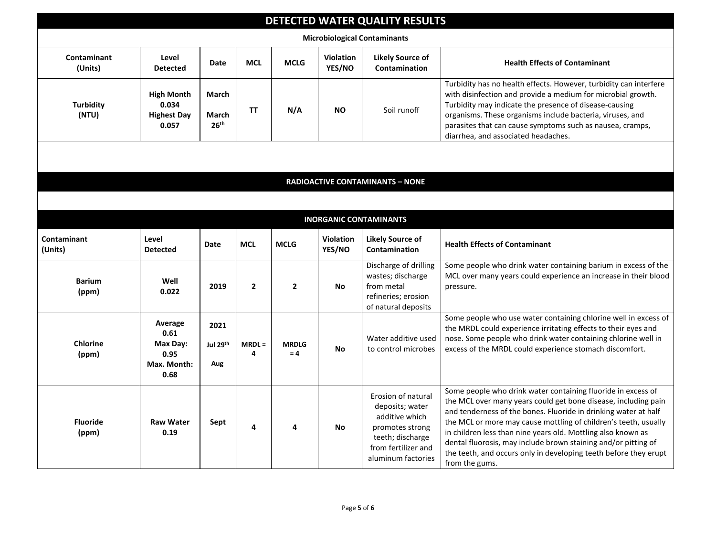|                           |                                                            |                                    |                |                       |                            | DETECTED WATER QUALITY RESULTS                                                                                                              |                                                                                                                                                                                                                                                                                                                                                                                                                                                                                              |  |  |
|---------------------------|------------------------------------------------------------|------------------------------------|----------------|-----------------------|----------------------------|---------------------------------------------------------------------------------------------------------------------------------------------|----------------------------------------------------------------------------------------------------------------------------------------------------------------------------------------------------------------------------------------------------------------------------------------------------------------------------------------------------------------------------------------------------------------------------------------------------------------------------------------------|--|--|
|                           |                                                            |                                    |                |                       |                            | <b>Microbiological Contaminants</b>                                                                                                         |                                                                                                                                                                                                                                                                                                                                                                                                                                                                                              |  |  |
| Contaminant<br>(Units)    | Level<br><b>Detected</b>                                   | <b>Date</b>                        | <b>MCL</b>     | <b>MCLG</b>           | <b>Violation</b><br>YES/NO | <b>Likely Source of</b><br><b>Contamination</b>                                                                                             | <b>Health Effects of Contaminant</b>                                                                                                                                                                                                                                                                                                                                                                                                                                                         |  |  |
| <b>Turbidity</b><br>(NTU) | <b>High Month</b><br>0.034<br><b>Highest Day</b><br>0.057  | March<br>March<br>26 <sup>th</sup> | <b>TT</b>      | N/A                   | <b>NO</b>                  | Soil runoff                                                                                                                                 | Turbidity has no health effects. However, turbidity can interfere<br>with disinfection and provide a medium for microbial growth.<br>Turbidity may indicate the presence of disease-causing<br>organisms. These organisms include bacteria, viruses, and<br>parasites that can cause symptoms such as nausea, cramps,<br>diarrhea, and associated headaches.                                                                                                                                 |  |  |
|                           |                                                            |                                    |                |                       |                            |                                                                                                                                             |                                                                                                                                                                                                                                                                                                                                                                                                                                                                                              |  |  |
|                           |                                                            |                                    |                |                       |                            | <b>RADIOACTIVE CONTAMINANTS - NONE</b>                                                                                                      |                                                                                                                                                                                                                                                                                                                                                                                                                                                                                              |  |  |
|                           |                                                            |                                    |                |                       |                            |                                                                                                                                             |                                                                                                                                                                                                                                                                                                                                                                                                                                                                                              |  |  |
|                           | <b>INORGANIC CONTAMINANTS</b>                              |                                    |                |                       |                            |                                                                                                                                             |                                                                                                                                                                                                                                                                                                                                                                                                                                                                                              |  |  |
| Contaminant<br>(Units)    | Level<br><b>Detected</b>                                   | Date                               | <b>MCL</b>     | <b>MCLG</b>           | <b>Violation</b><br>YES/NO | <b>Likely Source of</b><br>Contamination                                                                                                    | <b>Health Effects of Contaminant</b>                                                                                                                                                                                                                                                                                                                                                                                                                                                         |  |  |
| <b>Barium</b><br>(ppm)    | Well<br>0.022                                              | 2019                               | $\overline{2}$ | $\overline{2}$        | No                         | Discharge of drilling<br>wastes; discharge<br>from metal<br>refineries; erosion<br>of natural deposits                                      | Some people who drink water containing barium in excess of the<br>MCL over many years could experience an increase in their blood<br>pressure.                                                                                                                                                                                                                                                                                                                                               |  |  |
| Chlorine<br>(ppm)         | Average<br>0.61<br>Max Day:<br>0.95<br>Max. Month:<br>0.68 | 2021<br>Jul 29th<br>Aug            | $MRDL =$<br>4  | <b>MRDLG</b><br>$= 4$ | <b>No</b>                  | Water additive used<br>to control microbes                                                                                                  | Some people who use water containing chlorine well in excess of<br>the MRDL could experience irritating effects to their eyes and<br>nose. Some people who drink water containing chlorine well in<br>excess of the MRDL could experience stomach discomfort.                                                                                                                                                                                                                                |  |  |
| <b>Fluoride</b><br>(ppm)  | <b>Raw Water</b><br>0.19                                   | Sept                               | 4              | 4                     | <b>No</b>                  | Erosion of natural<br>deposits; water<br>additive which<br>promotes strong<br>teeth; discharge<br>from fertilizer and<br>aluminum factories | Some people who drink water containing fluoride in excess of<br>the MCL over many years could get bone disease, including pain<br>and tenderness of the bones. Fluoride in drinking water at half<br>the MCL or more may cause mottling of children's teeth, usually<br>in children less than nine years old. Mottling also known as<br>dental fluorosis, may include brown staining and/or pitting of<br>the teeth, and occurs only in developing teeth before they erupt<br>from the gums. |  |  |